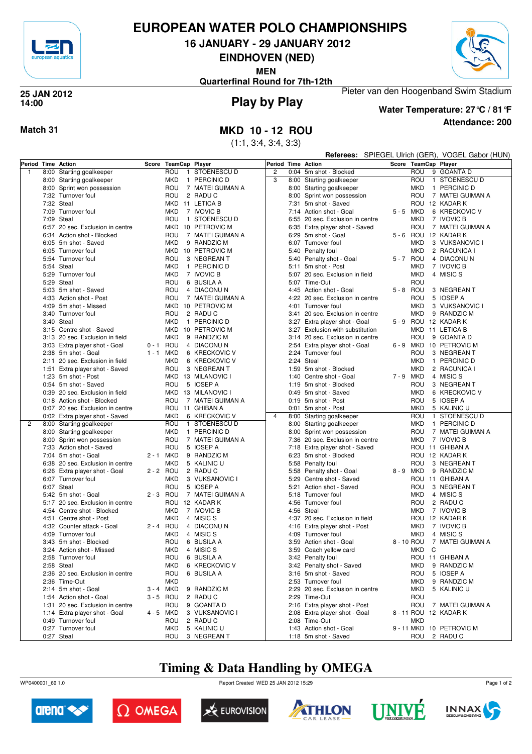

# **EUROPEAN WATER POLO CHAMPIONSHIPS**

**16 JANUARY - 29 JANUARY 2012**

**EINDHOVEN (NED)**

**MEN**



**Quarterfinal Round for 7th-12th**

#### **Play by Play 25 JAN 2012 14:00**



**Attendance: 200 Water Temperature: 27°C / 81°F**

Pieter van den Hoogenband Swim Stadium

### **Match 31 MKD 10 - 12 ROU**

(1:1, 3:4, 3:4, 3:3)

|                    |                                                             |             |                       |                                   |                    | Referees: SPIEGEL Ulrich (GER), VOGEL Gabor (HUN) |                                                                   |  |                      |  |                               |
|--------------------|-------------------------------------------------------------|-------------|-----------------------|-----------------------------------|--------------------|---------------------------------------------------|-------------------------------------------------------------------|--|----------------------|--|-------------------------------|
| Period Time Action |                                                             | Score       | <b>TeamCap Player</b> |                                   | Period Time Action |                                                   |                                                                   |  | Score TeamCap Player |  |                               |
| $\mathbf{1}$       | 8:00 Starting goalkeeper                                    |             | ROU                   | 1 STOENESCU D                     | $\overline{c}$     |                                                   | 0:04 5m shot - Blocked                                            |  | ROU                  |  | 9 GOANTA D                    |
|                    | 8:00 Starting goalkeeper                                    |             | <b>MKD</b>            | 1 PERCINIC D                      | 3                  |                                                   | 8:00 Starting goalkeeper                                          |  | ROU                  |  | 1 STOENESCU D                 |
|                    | 8:00 Sprint won possession                                  |             | ROU                   | 7 MATEI GUIMAN A                  |                    |                                                   | 8:00 Starting goalkeeper                                          |  | MKD                  |  | 1 PERCINIC D                  |
|                    | 7:32 Turnover foul                                          |             | ROU                   | 2 RADUC                           |                    |                                                   | 8:00 Sprint won possession                                        |  | ROU                  |  | 7 MATEI GUIMAN A              |
|                    | 7:32 Steal                                                  |             |                       | MKD 11 LETICA B                   |                    |                                                   | 7:31 5m shot - Saved                                              |  |                      |  | ROU 12 KADAR K                |
|                    | 7:09 Turnover foul                                          |             | <b>MKD</b>            | 7 IVOVIC B                        |                    |                                                   | 7:14 Action shot - Goal                                           |  | 5-5 MKD              |  | 6 KRECKOVIC V                 |
|                    | 7:09 Steal                                                  |             | ROU                   | 1 STOENESCU D                     |                    |                                                   | 6:55 20 sec. Exclusion in centre                                  |  | <b>MKD</b>           |  | 7 IVOVIC B                    |
|                    | 6:57 20 sec. Exclusion in centre                            |             |                       | MKD 10 PETROVIC M                 |                    |                                                   | 6:35 Extra player shot - Saved                                    |  | ROU                  |  | 7 MATEI GUIMAN A              |
|                    | 6:34 Action shot - Blocked                                  |             | ROU                   | 7 MATEI GUIMAN A                  |                    |                                                   | 6:29 5m shot - Goal                                               |  |                      |  | 5 - 6 ROU 12 KADAR K          |
|                    | 6:05 5m shot - Saved                                        |             | <b>MKD</b>            | 9 RANDZIC M                       |                    |                                                   | 6:07 Turnover foul                                                |  | <b>MKD</b>           |  | 3 VUKSANOVIC I                |
|                    | 6:05 Turnover foul                                          |             |                       | MKD 10 PETROVIC M                 |                    |                                                   | 5:40 Penalty foul                                                 |  | <b>MKD</b>           |  | 2 RACUNICA I                  |
|                    | 5:54 Turnover foul                                          |             | ROU                   | 3 NEGREAN T                       |                    |                                                   | 5:40 Penalty shot - Goal                                          |  | 5-7 ROU              |  | 4 DIACONUN                    |
|                    | 5:54 Steal                                                  |             | <b>MKD</b>            | 1 PERCINIC D                      |                    |                                                   | 5:11 5m shot - Post                                               |  | <b>MKD</b>           |  | 7 IVOVIC B                    |
|                    | 5:29 Turnover foul                                          |             | <b>MKD</b>            | 7 IVOVIC B                        |                    |                                                   | 5:07 20 sec. Exclusion in field                                   |  | <b>MKD</b>           |  | 4 MISIC S                     |
|                    | 5:29 Steal                                                  |             | ROU                   | 6 BUSILA A                        |                    |                                                   | 5:07 Time-Out                                                     |  | ROU                  |  |                               |
|                    | 5:03 5m shot - Saved                                        |             | ROU                   | 4 DIACONUN                        |                    |                                                   | 4:45 Action shot - Goal                                           |  | 5-8 ROU              |  | 3 NEGREAN T                   |
|                    | 4:33 Action shot - Post                                     |             | ROU                   | 7 MATEI GUIMAN A                  |                    |                                                   | 4:22 20 sec. Exclusion in centre                                  |  | ROU                  |  | 5 IOSEP A                     |
|                    | 4:09 5m shot - Missed                                       |             |                       | MKD 10 PETROVIC M                 |                    |                                                   | 4:01 Turnover foul                                                |  | MKD                  |  | 3 VUKSANOVIC I                |
|                    | 3:40 Turnover foul                                          |             | ROU                   | 2 RADUC                           |                    |                                                   | 3:41 20 sec. Exclusion in centre                                  |  | MKD                  |  | 9 RANDZIC M                   |
|                    | 3:40 Steal                                                  |             | MKD                   | 1 PERCINIC D<br>MKD 10 PETROVIC M |                    |                                                   | 3:27 Extra player shot - Goal<br>3:27 Exclusion with substitution |  |                      |  | 5 - 9 ROU 12 KADAR K          |
|                    | 3:15 Centre shot - Saved<br>3:13 20 sec. Exclusion in field |             | <b>MKD</b>            | 9 RANDZIC M                       |                    |                                                   |                                                                   |  | ROU                  |  | MKD 11 LETICA B<br>9 GOANTA D |
|                    | 3:03 Extra player shot - Goal                               | 0-1 ROU     |                       | 4 DIACONUN                        |                    |                                                   | 3:14 20 sec. Exclusion in centre                                  |  |                      |  | 6 - 9 MKD 10 PETROVIC M       |
|                    | 2:38 5m shot - Goal                                         | $1 - 1$     | MKD                   | 6 KRECKOVIC V                     |                    |                                                   | 2:54 Extra player shot - Goal<br>2:24 Turnover foul               |  | ROU                  |  | 3 NEGREAN T                   |
|                    | 2:11 20 sec. Exclusion in field                             |             | <b>MKD</b>            | 6 KRECKOVIC V                     |                    |                                                   | 2:24 Steal                                                        |  | <b>MKD</b>           |  | 1 PERCINIC D                  |
|                    | 1:51 Extra player shot - Saved                              |             | ROU                   | 3 NEGREAN T                       |                    |                                                   | 1:59 5m shot - Blocked                                            |  | <b>MKD</b>           |  | 2 RACUNICA I                  |
|                    | 1:23 5m shot - Post                                         |             |                       | MKD 13 MILANOVIC I                |                    |                                                   | 1:40 Centre shot - Goal                                           |  | 7-9 MKD              |  | 4 MISIC S                     |
|                    | 0:54 5m shot - Saved                                        |             | ROU                   | 5 IOSEP A                         |                    |                                                   | 1:19 5m shot - Blocked                                            |  | ROU                  |  | 3 NEGREAN T                   |
|                    | 0:39 20 sec. Exclusion in field                             |             |                       | MKD 13 MILANOVIC I                |                    |                                                   | 0:49 5m shot - Saved                                              |  | <b>MKD</b>           |  | 6 KRECKOVIC V                 |
|                    | 0:18 Action shot - Blocked                                  |             | ROU                   | 7 MATEI GUIMAN A                  |                    |                                                   | 0:19 5m shot - Post                                               |  | ROU                  |  | 5 IOSEP A                     |
|                    | 0:07 20 sec. Exclusion in centre                            |             |                       | ROU 11 GHIBAN A                   |                    |                                                   | 0:01 5m shot - Post                                               |  | <b>MKD</b>           |  | 5 KALINIC U                   |
|                    | 0:02 Extra player shot - Saved                              |             | <b>MKD</b>            | 6 KRECKOVIC V                     | $\overline{4}$     |                                                   | 8:00 Starting goalkeeper                                          |  | ROU                  |  | 1 STOENESCU D                 |
| 2                  | 8:00 Starting goalkeeper                                    |             | ROU                   | 1 STOENESCU D                     |                    |                                                   | 8:00 Starting goalkeeper                                          |  | MKD                  |  | 1 PERCINIC D                  |
|                    | 8:00 Starting goalkeeper                                    |             | <b>MKD</b>            | 1 PERCINIC D                      |                    |                                                   | 8:00 Sprint won possession                                        |  | ROU                  |  | 7 MATEI GUIMAN A              |
|                    | 8:00 Sprint won possession                                  |             | ROU                   | 7 MATEI GUIMAN A                  |                    |                                                   | 7:36 20 sec. Exclusion in centre                                  |  | MKD                  |  | 7 IVOVIC B                    |
|                    | 7:33 Action shot - Saved                                    |             | ROU                   | 5 IOSEP A                         |                    | 7:18                                              | Extra player shot - Saved                                         |  |                      |  | ROU 11 GHIBAN A               |
|                    | 7:04 5m shot - Goal                                         | 2 - 1 MKD   |                       | 9 RANDZIC M                       |                    |                                                   | 6:23 5m shot - Blocked                                            |  |                      |  | ROU 12 KADAR K                |
|                    | 6:38 20 sec. Exclusion in centre                            |             | <b>MKD</b>            | 5 KALINIC U                       |                    |                                                   | 5:58 Penalty foul                                                 |  | ROU                  |  | 3 NEGREAN T                   |
|                    | 6:26 Extra player shot - Goal                               | 2 - 2 ROU   |                       | 2 RADUC                           |                    |                                                   | 5:58 Penalty shot - Goal                                          |  | 8-9 MKD              |  | 9 RANDZIC M                   |
|                    | 6:07 Turnover foul                                          |             | MKD                   | 3 VUKSANOVIC I                    |                    |                                                   | 5:29 Centre shot - Saved                                          |  |                      |  | ROU 11 GHIBAN A               |
|                    | 6:07 Steal                                                  |             | ROU                   | 5 IOSEP A                         |                    | 5:21                                              | Action shot - Saved                                               |  | ROU                  |  | 3 NEGREAN T                   |
|                    | 5:42 5m shot - Goal                                         | $2 - 3$ ROU |                       | 7 MATEI GUIMAN A                  |                    |                                                   | 5:18 Turnover foul                                                |  | <b>MKD</b>           |  | 4 MISIC S                     |
|                    | 5:17 20 sec. Exclusion in centre                            |             |                       | ROU 12 KADAR K                    |                    | 4:56                                              | Turnover foul                                                     |  | ROU                  |  | 2 RADU C                      |
|                    | 4:54 Centre shot - Blocked                                  |             | <b>MKD</b>            | 7 IVOVIC B                        |                    |                                                   | 4:56 Steal                                                        |  | <b>MKD</b>           |  | 7 IVOVIC B                    |
|                    | 4:51 Centre shot - Post                                     |             | <b>MKD</b>            | 4 MISIC S                         |                    |                                                   | 4:37 20 sec. Exclusion in field                                   |  |                      |  | ROU 12 KADAR K                |
|                    | 4:32 Counter attack - Goal                                  | 2 - 4 ROU   |                       | 4 DIACONUN                        |                    |                                                   | 4:16 Extra player shot - Post                                     |  | MKD                  |  | 7 IVOVIC B                    |
|                    | 4:09 Turnover foul                                          |             | MKD                   | 4 MISIC S                         |                    |                                                   | 4:09 Turnover foul                                                |  | MKD<br>8 - 10 ROU    |  | 4 MISIC S<br>7 MATEI GUIMAN A |
|                    | 3:43 5m shot - Blocked                                      |             | ROU                   | 6 BUSILA A                        |                    |                                                   | 3:59 Action shot - Goal<br>3:59 Coach yellow card                 |  | MKD C                |  |                               |
|                    | 3:24 Action shot - Missed<br>2:58 Turnover foul             |             | ROU                   | MKD 4 MISICS<br>6 BUSILA A        |                    |                                                   | 3:42 Penalty foul                                                 |  |                      |  | ROU 11 GHIBAN A               |
|                    | 2:58 Steal                                                  |             | <b>MKD</b>            | 6 KRECKOVIC V                     |                    |                                                   | 3:42 Penalty shot - Saved                                         |  | MKD                  |  | 9 RANDZIC M                   |
|                    | 2:36 20 sec. Exclusion in centre                            |             | ROU                   | 6 BUSILA A                        |                    |                                                   | 3:16 5m shot - Saved                                              |  | ROU                  |  | 5 IOSEP A                     |
|                    | 2:36 Time-Out                                               |             | <b>MKD</b>            |                                   |                    |                                                   | 2:53 Turnover foul                                                |  | MKD                  |  | 9 RANDZIC M                   |
|                    | 2:14 5m shot - Goal                                         | 3 - 4 MKD   |                       | 9 RANDZIC M                       |                    |                                                   | 2:29 20 sec. Exclusion in centre                                  |  | <b>MKD</b>           |  | 5 KALINIC U                   |
|                    | 1:54 Action shot - Goal                                     | 3-5 ROU     |                       | 2 RADUC                           |                    |                                                   | 2:29 Time-Out                                                     |  | ROU                  |  |                               |
|                    | 1:31 20 sec. Exclusion in centre                            |             | ROU                   | 9 GOANTA D                        |                    |                                                   | 2:16 Extra player shot - Post                                     |  | ROU                  |  | 7 MATEI GUIMAN A              |
|                    | 1:14 Extra player shot - Goal                               | 4 - 5 MKD   |                       | 3 VUKSANOVIC I                    |                    |                                                   | 2:08 Extra player shot - Goal                                     |  |                      |  | 8 - 11 ROU 12 KADAR K         |
|                    | 0:49 Turnover foul                                          |             | ROU                   | 2 RADUC                           |                    |                                                   | 2:08 Time-Out                                                     |  | <b>MKD</b>           |  |                               |
|                    | 0:27 Turnover foul                                          |             | MKD                   | 5 KALINIC U                       |                    |                                                   | 1:43 Action shot - Goal                                           |  |                      |  | 9 - 11 MKD 10 PETROVIC M      |
|                    | 0:27 Steal                                                  |             |                       | ROU 3 NEGREAN T                   |                    |                                                   | 1:18 5m shot - Saved                                              |  |                      |  | ROU 2 RADUC                   |

# **Timing & Data Handling by OMEGA**

WP0400001\_69 1.0 Report Created WED 25 JAN 2012 15:29













Page 1 of 2